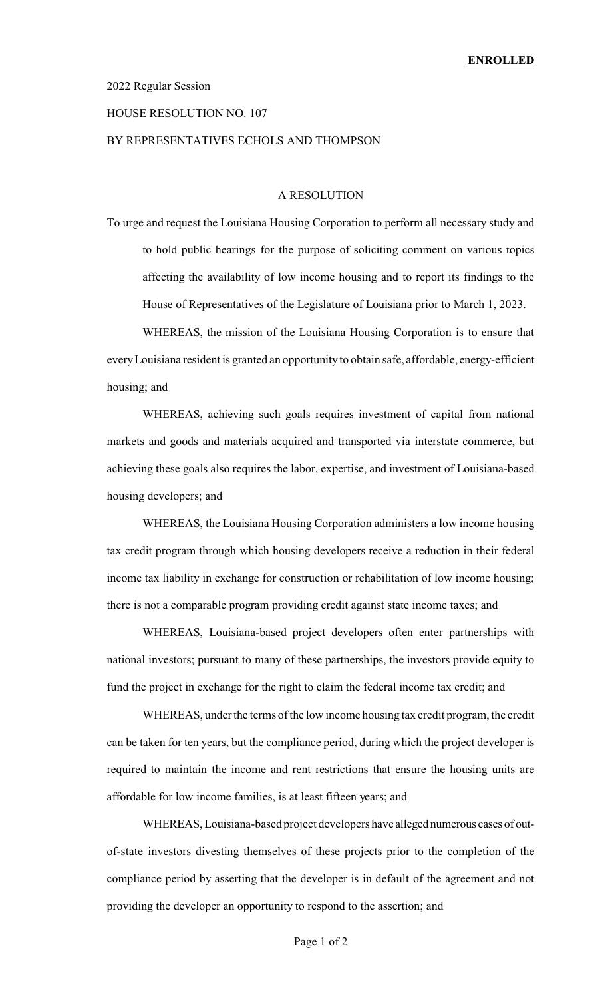### 2022 Regular Session

# HOUSE RESOLUTION NO. 107

# BY REPRESENTATIVES ECHOLS AND THOMPSON

## A RESOLUTION

To urge and request the Louisiana Housing Corporation to perform all necessary study and to hold public hearings for the purpose of soliciting comment on various topics affecting the availability of low income housing and to report its findings to the House of Representatives of the Legislature of Louisiana prior to March 1, 2023.

WHEREAS, the mission of the Louisiana Housing Corporation is to ensure that everyLouisiana resident is granted an opportunity to obtain safe, affordable, energy-efficient housing; and

WHEREAS, achieving such goals requires investment of capital from national markets and goods and materials acquired and transported via interstate commerce, but achieving these goals also requires the labor, expertise, and investment of Louisiana-based housing developers; and

WHEREAS, the Louisiana Housing Corporation administers a low income housing tax credit program through which housing developers receive a reduction in their federal income tax liability in exchange for construction or rehabilitation of low income housing; there is not a comparable program providing credit against state income taxes; and

WHEREAS, Louisiana-based project developers often enter partnerships with national investors; pursuant to many of these partnerships, the investors provide equity to fund the project in exchange for the right to claim the federal income tax credit; and

WHEREAS, under the terms of the low income housing tax credit program, the credit can be taken for ten years, but the compliance period, during which the project developer is required to maintain the income and rent restrictions that ensure the housing units are affordable for low income families, is at least fifteen years; and

WHEREAS, Louisiana-based project developers have alleged numerous cases of outof-state investors divesting themselves of these projects prior to the completion of the compliance period by asserting that the developer is in default of the agreement and not providing the developer an opportunity to respond to the assertion; and